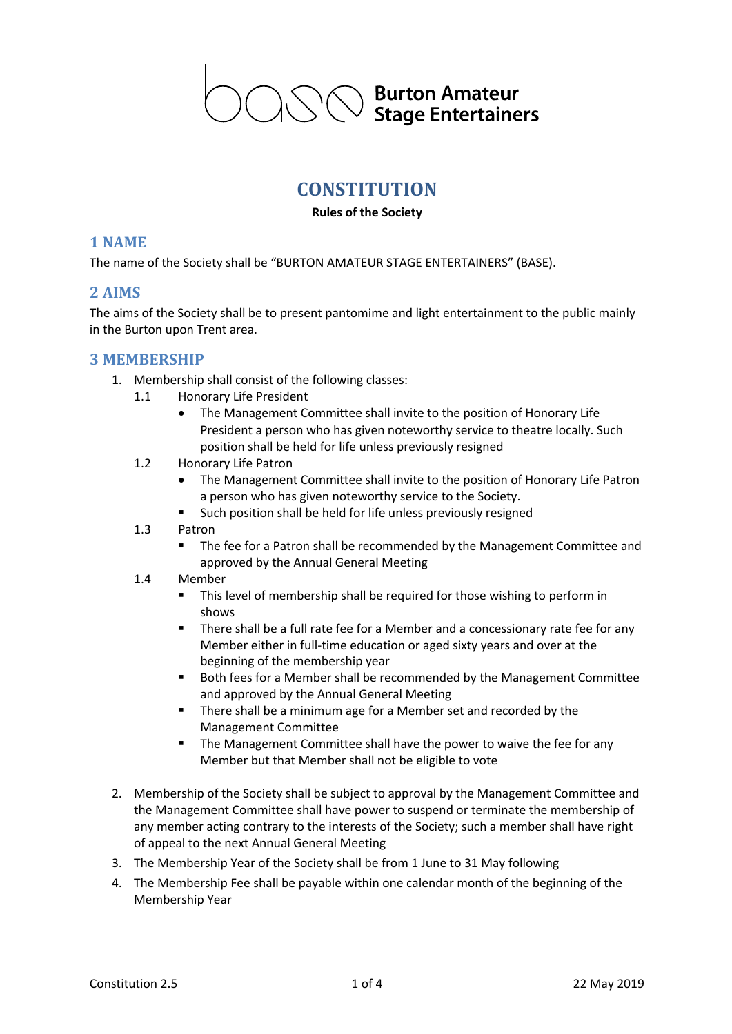**Burton Amateur Stage Entertainers** 

# **CONSTITUTION**

#### **Rules of the Society**

#### **1 NAME**

The name of the Society shall be "BURTON AMATEUR STAGE ENTERTAINERS" (BASE).

#### **2 AIMS**

The aims of the Society shall be to present pantomime and light entertainment to the public mainly in the Burton upon Trent area.

#### **3 MEMBERSHIP**

- 1. Membership shall consist of the following classes:
	- 1.1 Honorary Life President
		- The Management Committee shall invite to the position of Honorary Life President a person who has given noteworthy service to theatre locally. Such position shall be held for life unless previously resigned
	- 1.2 Honorary Life Patron
		- The Management Committee shall invite to the position of Honorary Life Patron a person who has given noteworthy service to the Society.
		- Such position shall be held for life unless previously resigned
	- 1.3 Patron
		- The fee for a Patron shall be recommended by the Management Committee and approved by the Annual General Meeting
	- 1.4 Member
		- This level of membership shall be required for those wishing to perform in shows
		- There shall be a full rate fee for a Member and a concessionary rate fee for any Member either in full-time education or aged sixty years and over at the beginning of the membership year
		- Both fees for a Member shall be recommended by the Management Committee and approved by the Annual General Meeting
		- There shall be a minimum age for a Member set and recorded by the Management Committee
		- The Management Committee shall have the power to waive the fee for any Member but that Member shall not be eligible to vote
- 2. Membership of the Society shall be subject to approval by the Management Committee and the Management Committee shall have power to suspend or terminate the membership of any member acting contrary to the interests of the Society; such a member shall have right of appeal to the next Annual General Meeting
- 3. The Membership Year of the Society shall be from 1 June to 31 May following
- 4. The Membership Fee shall be payable within one calendar month of the beginning of the Membership Year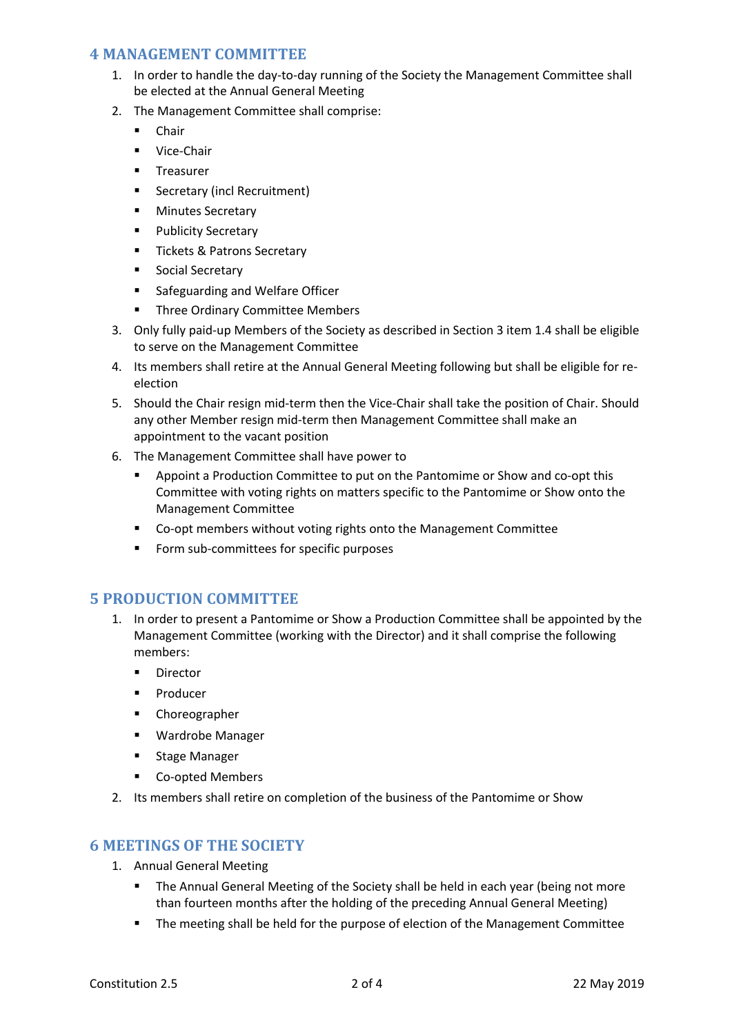#### **4 MANAGEMENT COMMITTEE**

- 1. In order to handle the day-to-day running of the Society the Management Committee shall be elected at the Annual General Meeting
- 2. The Management Committee shall comprise:
	- Chair
	- Vice-Chair
	- § Treasurer
	- Secretary (incl Recruitment)
	- Minutes Secretary
	- Publicity Secretary
	- Tickets & Patrons Secretary
	- Social Secretary
	- § Safeguarding and Welfare Officer
	- § Three Ordinary Committee Members
- 3. Only fully paid-up Members of the Society as described in Section 3 item 1.4 shall be eligible to serve on the Management Committee
- 4. Its members shall retire at the Annual General Meeting following but shall be eligible for reelection
- 5. Should the Chair resign mid-term then the Vice-Chair shall take the position of Chair. Should any other Member resign mid-term then Management Committee shall make an appointment to the vacant position
- 6. The Management Committee shall have power to
	- Appoint a Production Committee to put on the Pantomime or Show and co-opt this Committee with voting rights on matters specific to the Pantomime or Show onto the Management Committee
	- Co-opt members without voting rights onto the Management Committee
	- Form sub-committees for specific purposes

## **5 PRODUCTION COMMITTEE**

- 1. In order to present a Pantomime or Show a Production Committee shall be appointed by the Management Committee (working with the Director) and it shall comprise the following members:
	- Director
	- Producer
	- § Choreographer
	- Wardrobe Manager
	- Stage Manager
	- Co-opted Members
- 2. Its members shall retire on completion of the business of the Pantomime or Show

## **6 MEETINGS OF THE SOCIETY**

- 1. Annual General Meeting
	- The Annual General Meeting of the Society shall be held in each year (being not more than fourteen months after the holding of the preceding Annual General Meeting)
	- The meeting shall be held for the purpose of election of the Management Committee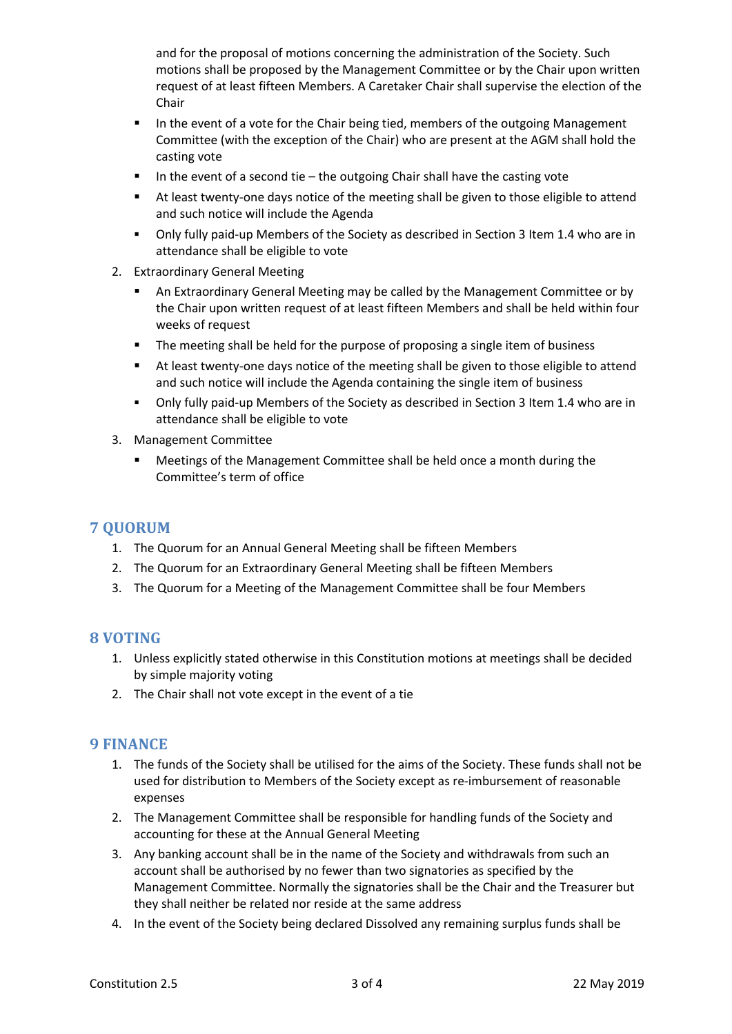and for the proposal of motions concerning the administration of the Society. Such motions shall be proposed by the Management Committee or by the Chair upon written request of at least fifteen Members. A Caretaker Chair shall supervise the election of the Chair

- In the event of a vote for the Chair being tied, members of the outgoing Management Committee (with the exception of the Chair) who are present at the AGM shall hold the casting vote
- In the event of a second tie  $-$  the outgoing Chair shall have the casting vote
- At least twenty-one days notice of the meeting shall be given to those eligible to attend and such notice will include the Agenda
- Only fully paid-up Members of the Society as described in Section 3 Item 1.4 who are in attendance shall be eligible to vote
- 2. Extraordinary General Meeting
	- § An Extraordinary General Meeting may be called by the Management Committee or by the Chair upon written request of at least fifteen Members and shall be held within four weeks of request
	- § The meeting shall be held for the purpose of proposing a single item of business
	- At least twenty-one days notice of the meeting shall be given to those eligible to attend and such notice will include the Agenda containing the single item of business
	- § Only fully paid-up Members of the Society as described in Section 3 Item 1.4 who are in attendance shall be eligible to vote
- 3. Management Committee
	- § Meetings of the Management Committee shall be held once a month during the Committee's term of office

## **7 QUORUM**

- 1. The Quorum for an Annual General Meeting shall be fifteen Members
- 2. The Quorum for an Extraordinary General Meeting shall be fifteen Members
- 3. The Quorum for a Meeting of the Management Committee shall be four Members

## **8** VOTING

- 1. Unless explicitly stated otherwise in this Constitution motions at meetings shall be decided by simple majority voting
- 2. The Chair shall not vote except in the event of a tie

## **9 FINANCE**

- 1. The funds of the Society shall be utilised for the aims of the Society. These funds shall not be used for distribution to Members of the Society except as re-imbursement of reasonable expenses
- 2. The Management Committee shall be responsible for handling funds of the Society and accounting for these at the Annual General Meeting
- 3. Any banking account shall be in the name of the Society and withdrawals from such an account shall be authorised by no fewer than two signatories as specified by the Management Committee. Normally the signatories shall be the Chair and the Treasurer but they shall neither be related nor reside at the same address
- 4. In the event of the Society being declared Dissolved any remaining surplus funds shall be